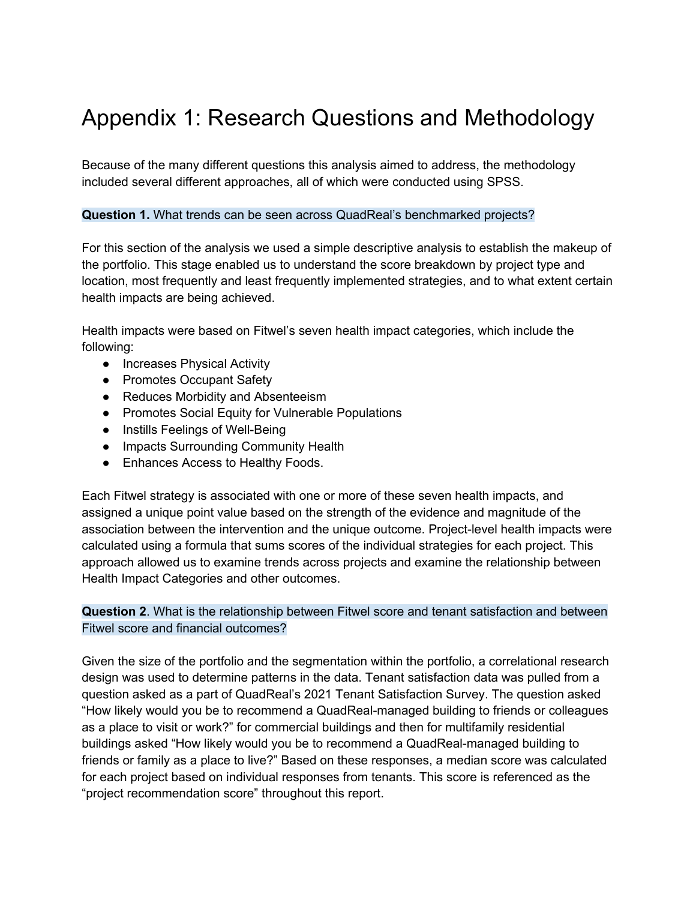# Appendix 1: Research Questions and Methodology

Because of the many different questions this analysis aimed to address, the methodology included several different approaches, all of which were conducted using SPSS.

#### **Question 1.** What trends can be seen across QuadReal's benchmarked projects?

For this section of the analysis we used a simple descriptive analysis to establish the makeup of the portfolio. This stage enabled us to understand the score breakdown by project type and location, most frequently and least frequently implemented strategies, and to what extent certain health impacts are being achieved.

Health impacts were based on Fitwel's seven health impact categories, which include the following:

- Increases Physical Activity
- Promotes Occupant Safety
- Reduces Morbidity and Absenteeism
- Promotes Social Equity for Vulnerable Populations
- Instills Feelings of Well-Being
- Impacts Surrounding Community Health
- Enhances Access to Healthy Foods.

Each Fitwel strategy is associated with one or more of these seven health impacts, and assigned a unique point value based on the strength of the evidence and magnitude of the association between the intervention and the unique outcome. Project-level health impacts were calculated using a formula that sums scores of the individual strategies for each project. This approach allowed us to examine trends across projects and examine the relationship between Health Impact Categories and other outcomes.

### **Question 2**. What is the relationship between Fitwel score and tenant satisfaction and between Fitwel score and financial outcomes?

Given the size of the portfolio and the segmentation within the portfolio, a correlational research design was used to determine patterns in the data. Tenant satisfaction data was pulled from a question asked as a part of QuadReal's 2021 Tenant Satisfaction Survey. The question asked "How likely would you be to recommend a QuadReal-managed building to friends or colleagues as a place to visit or work?" for commercial buildings and then for multifamily residential buildings asked "How likely would you be to recommend a QuadReal-managed building to friends or family as a place to live?" Based on these responses, a median score was calculated for each project based on individual responses from tenants. This score is referenced as the "project recommendation score" throughout this report.